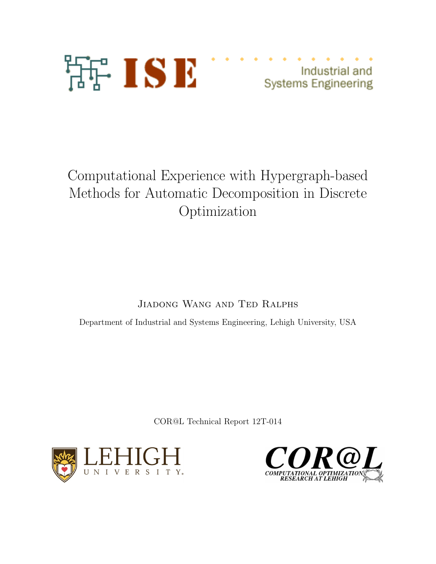

Industrial and **Systems Engineering** 

# Computational Experience with Hypergraph-based Methods for Automatic Decomposition in Discrete Optimization

Jiadong Wang and Ted Ralphs

Department of Industrial and Systems Engineering, Lehigh University, USA

COR@L Technical Report 12T-014



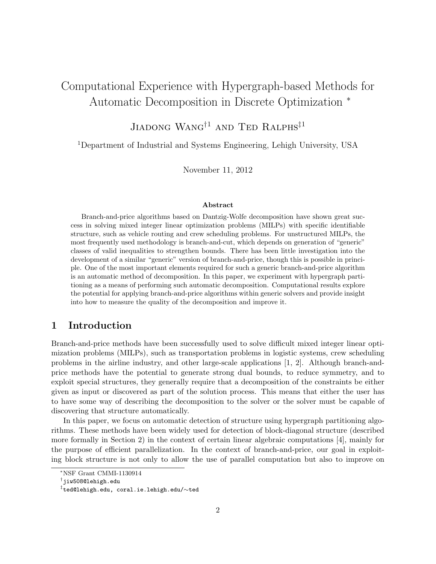# Computational Experience with Hypergraph-based Methods for Automatic Decomposition in Discrete Optimization *<sup>∗</sup>*

# Jiadong Wang*†*<sup>1</sup> and Ted Ralphs*‡*<sup>1</sup>

<sup>1</sup>Department of Industrial and Systems Engineering, Lehigh University, USA

November 11, 2012

#### **Abstract**

Branch-and-price algorithms based on Dantzig-Wolfe decomposition have shown great success in solving mixed integer linear optimization problems (MILPs) with specific identifiable structure, such as vehicle routing and crew scheduling problems. For unstructured MILPs, the most frequently used methodology is branch-and-cut, which depends on generation of "generic" classes of valid inequalities to strengthen bounds. There has been little investigation into the development of a similar "generic" version of branch-and-price, though this is possible in principle. One of the most important elements required for such a generic branch-and-price algorithm is an automatic method of decomposition. In this paper, we experiment with hypergraph partitioning as a means of performing such automatic decomposition. Computational results explore the potential for applying branch-and-price algorithms within generic solvers and provide insight into how to measure the quality of the decomposition and improve it.

## **1 Introduction**

Branch-and-price methods have been successfully used to solve difficult mixed integer linear optimization problems (MILPs), such as transportation problems in logistic systems, crew scheduling problems in the airline industry, and other large-scale applications [1, 2]. Although branch-andprice methods have the potential to generate strong dual bounds, to reduce symmetry, and to exploit special structures, they generally require that a decomposition of the constraints be either given as input or discovered as part of the solution process. This means that either the user has to have some way of describing the decomposition to the solver or the solver must be capable of discovering that structure automatically.

In this paper, we focus on automatic detection of structure using hypergraph partitioning algorithms. These methods have been widely used for detection of block-diagonal structure (described more formally in Section 2) in the context of certain linear algebraic computations [4], mainly for the purpose of efficient parallelization. In the context of branch-and-price, our goal in exploiting block structure is not only to allow the use of parallel computation but also to improve on

*<sup>∗</sup>*NSF Grant CMMI-1130914

*<sup>†</sup>* jiw508@lehigh.edu

*<sup>‡</sup>* ted@lehigh.edu, coral.ie.lehigh.edu/*∼*ted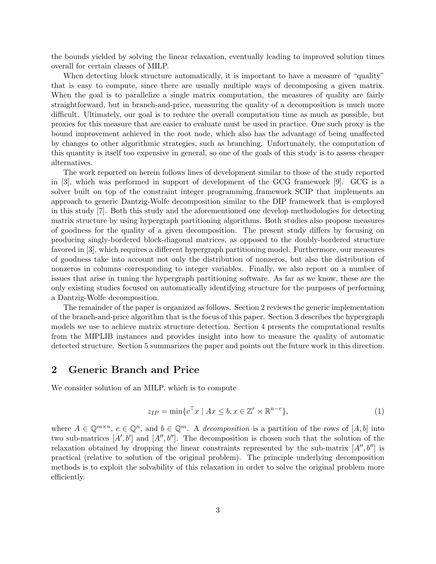the bounds yielded by solving the linear relaxation, eventually leading to improved solution times overall for certain classes of MILP.

When detecting block structure automatically, it is important to have a measure of "quality" that is easy to compute, since there are usually multiple ways of decomposing a given matrix. When the goal is to parallelize a single matrix computation, the measures of quality are fairly straightforward, but in branch-and-price, measuring the quality of a decomposition is much more difficult. Ultimately, our goal is to reduce the overall computation time as much as possible, but proxies for this measure that are easier to evaluate must be used in practice. One such proxy is the bound improvement achieved in the root node, which also has the advantage of being unaffected by changes to other algorithmic strategies, such as branching. Unfortunately, the computation of this quantity is itself too expensive in general, so one of the goals of this study is to assess cheaper alternatives.

The work reported on herein follows lines of development similar to those of the study reported in [3], which was performed in support of development of the GCG framework [9]. GCG is a solver built on top of the constraint integer programming framework SCIP that implements an approach to generic Dantzig-Wolfe decomposition similar to the DIP framework that is employed in this study [7]. Both this study and the aforementioned one develop methodologies for detecting matrix structure by using hypergraph partitioning algorithms. Both studies also propose measures of goodness for the quality of a given decomposition. The present study differs by focusing on producing singly-bordered block-diagonal matrices, as opposed to the doubly-bordered structure favored in [3], which requires a different hypergraph partitioning model. Furthermore, our measures of goodness take into account not only the distribution of nonzeros, but also the distribution of nonzeros in columns corresponding to integer variables. Finally, we also report on a number of issues that arise in tuning the hypergraph partitioning software. As far as we know, these are the only existing studies focused on automatically identifying structure for the purposes of performing a Dantzig-Wolfe decomposition.

The remainder of the paper is organized as follows. Section 2 reviews the generic implementation of the branch-and-price algorithm that is the focus of this paper. Section 3 describes the hypergraph models we use to achieve matrix structure detection. Section 4 presents the computational results from the MIPLIB instances and provides insight into how to measure the quality of automatic detected structure. Section 5 summarizes the paper and points out the future work in this direction.

# **2 Generic Branch and Price**

We consider solution of an MILP, which is to compute

$$
z_{IP} = \min \{ c^{\top} x \mid Ax \le b, x \in \mathbb{Z}^r \times \mathbb{R}^{n-r} \},\tag{1}
$$

where  $A \in \mathbb{Q}^{m \times n}$ ,  $c \in \mathbb{Q}^n$ , and  $b \in \mathbb{Q}^m$ . A *decomposition* is a partition of the rows of  $[A, b]$  into two sub-matrices  $[A', b']$  and  $[A'', b'']$ . The decomposition is chosen such that the solution of the relaxation obtained by dropping the linear constraints represented by the sub-matrix  $[A'', b'']$  is practical (relative to solution of the original problem). The principle underlying decomposition methods is to exploit the solvability of this relaxation in order to solve the original problem more efficiently.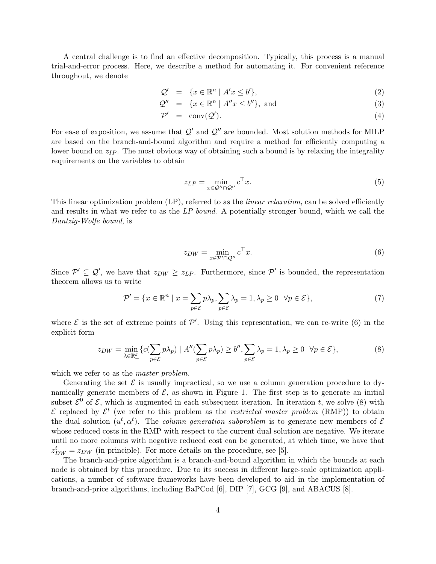A central challenge is to find an effective decomposition. Typically, this process is a manual trial-and-error process. Here, we describe a method for automating it. For convenient reference throughout, we denote

$$
\mathcal{Q}' = \{ x \in \mathbb{R}^n \mid A'x \le b' \},\tag{2}
$$

$$
\mathcal{Q}'' = \{ x \in \mathbb{R}^n \mid A''x \le b'' \}, \text{ and} \tag{3}
$$

$$
\mathcal{P}' = \text{conv}(\mathcal{Q}'). \tag{4}
$$

For ease of exposition, we assume that  $Q'$  and  $Q''$  are bounded. Most solution methods for MILP are based on the branch-and-bound algorithm and require a method for efficiently computing a lower bound on  $z_{IP}$ . The most obvious way of obtaining such a bound is by relaxing the integrality requirements on the variables to obtain

$$
z_{LP} = \min_{x \in \mathcal{Q}'' \cap \mathcal{Q}''} c^{\top} x.
$$
\n<sup>(5)</sup>

This linear optimization problem (LP), referred to as the *linear relaxation*, can be solved efficiently and results in what we refer to as the *LP bound*. A potentially stronger bound, which we call the *Dantzig-Wolfe bound*, is

$$
z_{DW} = \min_{x \in \mathcal{P}' \cap \mathcal{Q}''} c^{\top} x.
$$
 (6)

Since  $\mathcal{P}' \subseteq \mathcal{Q}'$ , we have that  $z_{DW} \ge z_{LP}$ . Furthermore, since  $\mathcal{P}'$  is bounded, the representation theorem allows us to write

$$
\mathcal{P}' = \{ x \in \mathbb{R}^n \mid x = \sum_{p \in \mathcal{E}} p\lambda_p, \sum_{p \in \mathcal{E}} \lambda_p = 1, \lambda_p \ge 0 \quad \forall p \in \mathcal{E} \},\tag{7}
$$

where  $\mathcal E$  is the set of extreme points of  $\mathcal P'$ . Using this representation, we can re-write (6) in the explicit form

$$
z_{DW} = \min_{\lambda \in \mathbb{R}_+^{\mathcal{E}}} \{ c(\sum_{p \in \mathcal{E}} p\lambda_p) \mid A''(\sum_{p \in \mathcal{E}} p\lambda_p) \ge b'', \sum_{p \in \mathcal{E}} \lambda_p = 1, \lambda_p \ge 0 \quad \forall p \in \mathcal{E} \},\tag{8}
$$

which we refer to as the *master problem*.

Generating the set  $\mathcal E$  is usually impractical, so we use a column generation procedure to dynamically generate members of  $\mathcal{E}$ , as shown in Figure 1. The first step is to generate an initial subset  $\mathcal{E}^0$  of  $\mathcal{E}$ , which is augmented in each subsequent iteration. In iteration *t*, we solve (8) with  $\mathcal E$  replaced by  $\mathcal E^t$  (we refer to this problem as the *restricted master problem* (RMP)) to obtain the dual solution  $(u^t, \alpha^t)$ . The *column generation subproblem* is to generate new members of  $\mathcal E$ whose reduced costs in the RMP with respect to the current dual solution are negative. We iterate until no more columns with negative reduced cost can be generated, at which time, we have that  $z_{DW}^t = z_{DW}$  (in principle). For more details on the procedure, see [5].

The branch-and-price algorithm is a branch-and-bound algorithm in which the bounds at each node is obtained by this procedure. Due to its success in different large-scale optimization applications, a number of software frameworks have been developed to aid in the implementation of branch-and-price algorithms, including BaPCod [6], DIP [7], GCG [9], and ABACUS [8].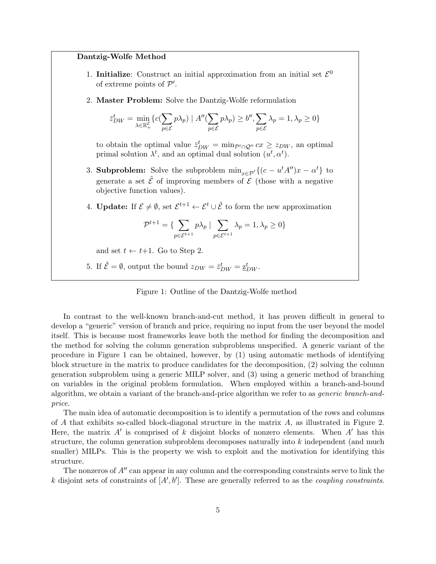#### **Dantzig-Wolfe Method**

- 1. **Initialize**: Construct an initial approximation from an initial set  $\mathcal{E}^0$ of extreme points of *P ′* .
- 2. **Master Problem:** Solve the Dantzig-Wolfe reformulation

$$
\bar{z}_{DW}^t = \min_{\lambda \in \mathbb{R}_+^{\mathcal{E}}} \{ c(\sum_{p \in \mathcal{E}} p\lambda_p) \mid A''(\sum_{p \in \mathcal{E}} p\lambda_p) \ge b'', \sum_{p \in \mathcal{E}} \lambda_p = 1, \lambda_p \ge 0 \}
$$

to obtain the optimal value  $\bar{z}_{DW}^t = \min_{P^t \cap Q''} cx \geq z_{DW}$ , an optimal primal solution  $\lambda^t$ , and an optimal dual solution  $(u^t, \alpha^t)$ .

- 3. **Subproblem:** Solve the subproblem  $\min_{x \in \mathcal{P}'} \{(c u^t A'')x \alpha^t\}$  to generate a set  $\tilde{\mathcal{E}}$  of improving members of  $\mathcal{E}$  (those with a negative objective function values).
- 4. **Update:** If  $\mathcal{E} \neq \emptyset$ , set  $\mathcal{E}^{t+1} \leftarrow \mathcal{E}^t \cup \tilde{\mathcal{E}}$  to form the new approximation

$$
\mathcal{P}^{t+1} = \{ \sum_{p \in \mathcal{E}^{t+1}} p\lambda_p \mid \sum_{p \in \mathcal{E}^{t+1}} \lambda_p = 1, \lambda_p \ge 0 \}
$$

and set  $t \leftarrow t+1$ . Go to Step 2.

5. If  $\tilde{\mathcal{E}} = \emptyset$ , output the bound  $z_{DW} = \bar{z}_{DW}^t = \underline{z}_{DW}^t$ .

Figure 1: Outline of the Dantzig-Wolfe method

In contrast to the well-known branch-and-cut method, it has proven difficult in general to develop a "generic" version of branch and price, requiring no input from the user beyond the model itself. This is because most frameworks leave both the method for finding the decomposition and the method for solving the column generation subproblems unspecified. A generic variant of the procedure in Figure 1 can be obtained, however, by (1) using automatic methods of identifying block structure in the matrix to produce candidates for the decomposition, (2) solving the column generation subproblem using a generic MILP solver, and (3) using a generic method of branching on variables in the original problem formulation. When employed within a branch-and-bound algorithm, we obtain a variant of the branch-and-price algorithm we refer to as *generic branch-andprice*.

The main idea of automatic decomposition is to identify a permutation of the rows and columns of *A* that exhibits so-called block-diagonal structure in the matrix *A*, as illustrated in Figure 2. Here, the matrix *A′* is comprised of *k* disjoint blocks of nonzero elements. When *A′* has this structure, the column generation subproblem decomposes naturally into *k* independent (and much smaller) MILPs. This is the property we wish to exploit and the motivation for identifying this structure.

The nonzeros of *A′′* can appear in any column and the corresponding constraints serve to link the *k* disjoint sets of constraints of [*A′ , b′* ]. These are generally referred to as the *coupling constraints*.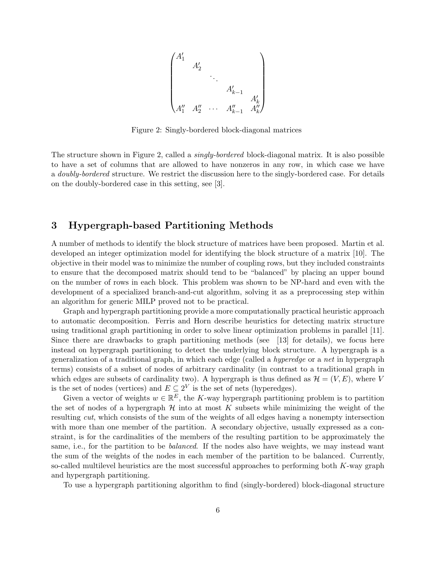$$
\begin{pmatrix} A'_1 & & & & \\ & A'_2 & & & & \\ & & \ddots & & & \\ & & & A'_{k-1} & \\ & & & & A''_k & \\ A''_1 & A''_2 & \cdots & A''_{k-1} & A''_k \end{pmatrix}
$$

Figure 2: Singly-bordered block-diagonal matrices

The structure shown in Figure 2, called a *singly-bordered* block-diagonal matrix. It is also possible to have a set of columns that are allowed to have nonzeros in any row, in which case we have a *doubly-bordered* structure. We restrict the discussion here to the singly-bordered case. For details on the doubly-bordered case in this setting, see [3].

# **3 Hypergraph-based Partitioning Methods**

A number of methods to identify the block structure of matrices have been proposed. Martin et al. developed an integer optimization model for identifying the block structure of a matrix [10]. The objective in their model was to minimize the number of coupling rows, but they included constraints to ensure that the decomposed matrix should tend to be "balanced" by placing an upper bound on the number of rows in each block. This problem was shown to be NP-hard and even with the development of a specialized branch-and-cut algorithm, solving it as a preprocessing step within an algorithm for generic MILP proved not to be practical.

Graph and hypergraph partitioning provide a more computationally practical heuristic approach to automatic decomposition. Ferris and Horn describe heuristics for detecting matrix structure using traditional graph partitioning in order to solve linear optimization problems in parallel [11]. Since there are drawbacks to graph partitioning methods (see [13] for details), we focus here instead on hypergraph partitioning to detect the underlying block structure. A hypergraph is a generalization of a traditional graph, in which each edge (called a *hyperedge* or a *net* in hypergraph terms) consists of a subset of nodes of arbitrary cardinality (in contrast to a traditional graph in which edges are subsets of cardinality two). A hypergraph is thus defined as  $\mathcal{H} = (V, E)$ , where *V* is the set of nodes (vertices) and  $E \subseteq 2^V$  is the set of nets (hyperedges).

Given a vector of weights  $w \in \mathbb{R}^E$ , the *K*-way hypergraph partitioning problem is to partition the set of nodes of a hypergraph  $H$  into at most  $K$  subsets while minimizing the weight of the resulting *cut*, which consists of the sum of the weights of all edges having a nonempty intersection with more than one member of the partition. A secondary objective, usually expressed as a constraint, is for the cardinalities of the members of the resulting partition to be approximately the same, i.e., for the partition to be *balanced*. If the nodes also have weights, we may instead want the sum of the weights of the nodes in each member of the partition to be balanced. Currently, so-called multilevel heuristics are the most successful approaches to performing both *K*-way graph and hypergraph partitioning.

To use a hypergraph partitioning algorithm to find (singly-bordered) block-diagonal structure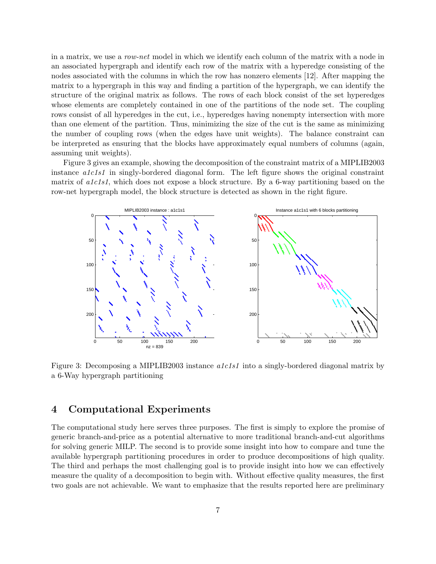in a matrix, we use a *row-net* model in which we identify each column of the matrix with a node in an associated hypergraph and identify each row of the matrix with a hyperedge consisting of the nodes associated with the columns in which the row has nonzero elements [12]. After mapping the matrix to a hypergraph in this way and finding a partition of the hypergraph, we can identify the structure of the original matrix as follows. The rows of each block consist of the set hyperedges whose elements are completely contained in one of the partitions of the node set. The coupling rows consist of all hyperedges in the cut, i.e., hyperedges having nonempty intersection with more than one element of the partition. Thus, minimizing the size of the cut is the same as minimizing the number of coupling rows (when the edges have unit weights). The balance constraint can be interpreted as ensuring that the blocks have approximately equal numbers of columns (again, assuming unit weights).

Figure 3 gives an example, showing the decomposition of the constraint matrix of a MIPLIB2003 instance *a1c1s1* in singly-bordered diagonal form. The left figure shows the original constraint matrix of *a1c1s1*, which does not expose a block structure. By a 6-way partitioning based on the row-net hypergraph model, the block structure is detected as shown in the right figure.



Figure 3: Decomposing a MIPLIB2003 instance *a1c1s1* into a singly-bordered diagonal matrix by a 6-Way hypergraph partitioning

# **4 Computational Experiments**

The computational study here serves three purposes. The first is simply to explore the promise of generic branch-and-price as a potential alternative to more traditional branch-and-cut algorithms for solving generic MILP. The second is to provide some insight into how to compare and tune the available hypergraph partitioning procedures in order to produce decompositions of high quality. The third and perhaps the most challenging goal is to provide insight into how we can effectively measure the quality of a decomposition to begin with. Without effective quality measures, the first two goals are not achievable. We want to emphasize that the results reported here are preliminary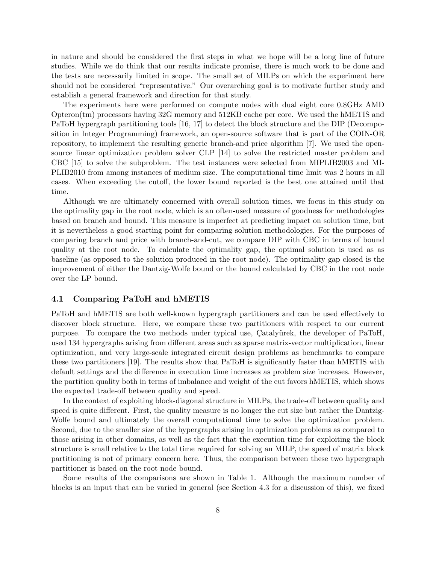in nature and should be considered the first steps in what we hope will be a long line of future studies. While we do think that our results indicate promise, there is much work to be done and the tests are necessarily limited in scope. The small set of MILPs on which the experiment here should not be considered "representative." Our overarching goal is to motivate further study and establish a general framework and direction for that study.

The experiments here were performed on compute nodes with dual eight core 0.8GHz AMD Opteron(tm) processors having 32G memory and 512KB cache per core. We used the hMETIS and PaToH hypergraph partitioning tools [16, 17] to detect the block structure and the DIP (Decomposition in Integer Programming) framework, an open-source software that is part of the COIN-OR repository, to implement the resulting generic branch-and price algorithm [7]. We used the opensource linear optimization problem solver CLP [14] to solve the restricted master problem and CBC [15] to solve the subproblem. The test instances were selected from MIPLIB2003 and MI-PLIB2010 from among instances of medium size. The computational time limit was 2 hours in all cases. When exceeding the cutoff, the lower bound reported is the best one attained until that time.

Although we are ultimately concerned with overall solution times, we focus in this study on the optimality gap in the root node, which is an often-used measure of goodness for methodologies based on branch and bound. This measure is imperfect at predicting impact on solution time, but it is nevertheless a good starting point for comparing solution methodologies. For the purposes of comparing branch and price with branch-and-cut, we compare DIP with CBC in terms of bound quality at the root node. To calculate the optimality gap, the optimal solution is used as as baseline (as opposed to the solution produced in the root node). The optimality gap closed is the improvement of either the Dantzig-Wolfe bound or the bound calculated by CBC in the root node over the LP bound.

### **4.1 Comparing PaToH and hMETIS**

PaToH and hMETIS are both well-known hypergraph partitioners and can be used effectively to discover block structure. Here, we compare these two partitioners with respect to our current purpose. To compare the two methods under typical use, Catalyürek, the developer of PaToH, used 134 hypergraphs arising from different areas such as sparse matrix-vector multiplication, linear optimization, and very large-scale integrated circuit design problems as benchmarks to compare these two partitioners [19]. The results show that PaToH is significantly faster than hMETIS with default settings and the difference in execution time increases as problem size increases. However, the partition quality both in terms of imbalance and weight of the cut favors hMETIS, which shows the expected trade-off between quality and speed.

In the context of exploiting block-diagonal structure in MILPs, the trade-off between quality and speed is quite different. First, the quality measure is no longer the cut size but rather the Dantzig-Wolfe bound and ultimately the overall computational time to solve the optimization problem. Second, due to the smaller size of the hypergraphs arising in optimization problems as compared to those arising in other domains, as well as the fact that the execution time for exploiting the block structure is small relative to the total time required for solving an MILP, the speed of matrix block partitioning is not of primary concern here. Thus, the comparison between these two hypergraph partitioner is based on the root node bound.

Some results of the comparisons are shown in Table 1. Although the maximum number of blocks is an input that can be varied in general (see Section 4.3 for a discussion of this), we fixed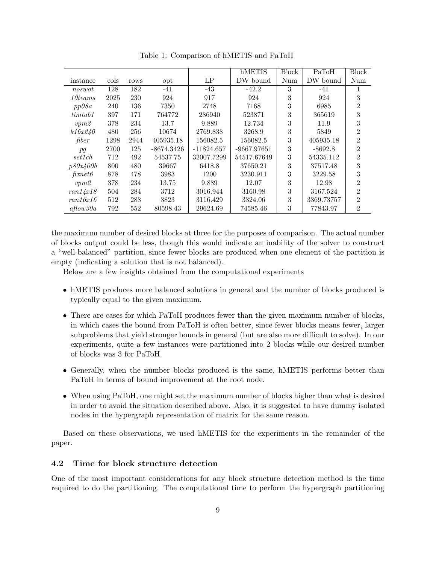|                      |      |      |            |              | hMETIS      | <b>Block</b> | PaToH      | <b>Block</b>   |
|----------------------|------|------|------------|--------------|-------------|--------------|------------|----------------|
| instance             | cols | rows | opt        | LP           | DW bound    | Num          | DW bound   | Num            |
| noswot               | 128  | 182  | $-41$      | $-43$        | $-42.2$     | 3            | -41        | 1              |
| $10$ teams           | 2025 | 230  | 924        | 917          | 924         | 3            | 924        | 3              |
| pp08a                | 240  | 136  | 7350       | 2748         | 7168        | 3            | 6985       | 2              |
| timtab1              | 397  | 171  | 764772     | 286940       | 523871      | 3            | 365619     | 3              |
| vpm2                 | 378  | 234  | 13.7       | 9.889        | 12.734      | 3            | 11.9       | 3              |
| k16x240              | 480  | 256  | 10674      | 2769.838     | 3268.9      | 3            | 5849       | $\overline{2}$ |
| fiber                | 1298 | 2944 | 405935.18  | 156082.5     | 156082.5    | 3            | 405935.18  | $\overline{2}$ |
| pg                   | 2700 | 125  | -8674.3426 | $-11824.657$ | -9667.97651 | 3            | $-8692.8$  | $\overline{2}$ |
| set1ch               | 712  | 492  | 54537.75   | 32007.7299   | 54517.67649 | 3            | 54335.112  | $\overline{2}$ |
| p80x400b             | 800  | 480  | 39667      | 6418.8       | 37650.21    | 3            | 37517.48   | 3              |
| $\operatorname{f\!}$ | 878  | 478  | 3983       | 1200         | 3230.911    | 3            | 3229.58    | 3              |
| vpm2                 | 378  | 234  | 13.75      | 9.889        | 12.07       | 3            | 12.98      | $\overline{2}$ |
| ran14x18             | 504  | 284  | 3712       | 3016.944     | 3160.98     | 3            | 3167.524   | $\overline{2}$ |
| ran16x16             | 512  | 288  | 3823       | 3116.429     | 3324.06     | 3            | 3369.73757 | $\overline{2}$ |
| $a$ flow $30a$       | 792  | 552  | 80598.43   | 29624.69     | 74585.46    | 3            | 77843.97   | $\overline{2}$ |

Table 1: Comparison of hMETIS and PaToH

the maximum number of desired blocks at three for the purposes of comparison. The actual number of blocks output could be less, though this would indicate an inability of the solver to construct a "well-balanced" partition, since fewer blocks are produced when one element of the partition is empty (indicating a solution that is not balanced).

Below are a few insights obtained from the computational experiments

- hMETIS produces more balanced solutions in general and the number of blocks produced is typically equal to the given maximum.
- There are cases for which PaToH produces fewer than the given maximum number of blocks, in which cases the bound from PaToH is often better, since fewer blocks means fewer, larger subproblems that yield stronger bounds in general (but are also more difficult to solve). In our experiments, quite a few instances were partitioned into 2 blocks while our desired number of blocks was 3 for PaToH.
- Generally, when the number blocks produced is the same, hMETIS performs better than PaToH in terms of bound improvement at the root node.
- When using PaToH, one might set the maximum number of blocks higher than what is desired in order to avoid the situation described above. Also, it is suggested to have dummy isolated nodes in the hypergraph representation of matrix for the same reason.

Based on these observations, we used hMETIS for the experiments in the remainder of the paper.

#### **4.2 Time for block structure detection**

One of the most important considerations for any block structure detection method is the time required to do the partitioning. The computational time to perform the hypergraph partitioning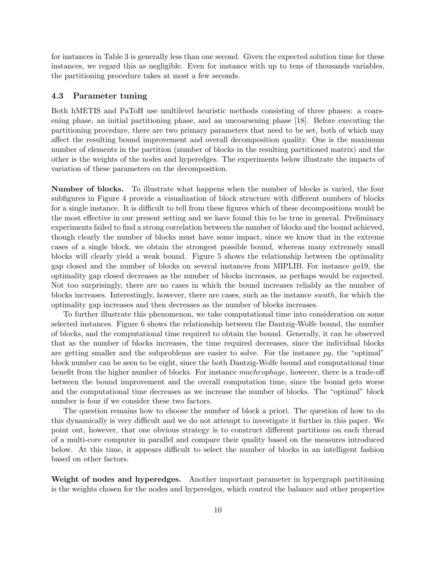for instances in Table 3 is generally less than one second. Given the expected solution time for these instances, we regard this as negligible. Even for instance with up to tens of thousands variables, the partitioning procedure takes at most a few seconds.

#### **4.3 Parameter tuning**

Both hMETIS and PaToH use multilevel heuristic methods consisting of three phases: a coarsening phase, an initial partitioning phase, and an uncoarsening phase [18]. Before executing the partitioning procedure, there are two primary parameters that need to be set, both of which may affect the resulting bound improvement and overall decomposition quality. One is the maximum number of elements in the partition (number of blocks in the resulting partitioned matrix) and the other is the weights of the nodes and hyperedges. The experiments below illustrate the impacts of variation of these parameters on the decomposition.

**Number of blocks.** To illustrate what happens when the number of blocks is varied, the four subfigures in Figure 4 provide a visualization of block structure with different numbers of blocks for a single instance. It is difficult to tell from these figures which of these decompositions would be the most effective in our present setting and we have found this to be true in general. Preliminary experiments failed to find a strong correlation between the number of blocks and the bound achieved, though clearly the number of blocks must have some impact, since we know that in the extreme cases of a single block, we obtain the strongest possible bound, whereas many extremely small blocks will clearly yield a weak bound. Figure 5 shows the relationship between the optimality gap closed and the number of blocks on several instances from MIPLIB. For instance *go*19, the optimality gap closed decreases as the number of blocks increases, as perhaps would be expected. Not too surprisingly, there are no cases in which the bound increases reliably as the number of blocks increases. Interestingly, however, there are cases, such as the instance *swath*, for which the optimality gap increases and then decreases as the number of blocks increases.

To further illustrate this phenomenon, we take computational time into consideration on some selected instances. Figure 6 shows the relationship between the Dantzig-Wolfe bound, the number of blocks, and the computational time required to obtain the bound. Generally, it can be observed that as the number of blocks increases, the time required decreases, since the individual blocks are getting smaller and the subproblems are easier to solve. For the instance *pg*, the "optimal" block number can be seen to be eight, since the both Dantzig-Wolfe bound and computational time benefit from the higher number of blocks. For instance *machrophage*, however, there is a trade-off between the bound improvement and the overall computation time, since the bound gets worse and the computational time decreases as we increase the number of blocks. The "optimal" block number is four if we consider these two factors.

The question remains how to choose the number of block a priori. The question of how to do this dynamically is very difficult and we do not attempt to investigate it further in this paper. We point out, however, that one obvious strategy is to construct different partitions on each thread of a multi-core computer in parallel and compare their quality based on the measures introduced below. At this time, it appears difficult to select the number of blocks in an intelligent fashion based on other factors.

**Weight of nodes and hyperedges.** Another important parameter in hypergraph partitioning is the weights chosen for the nodes and hyperedges, which control the balance and other properties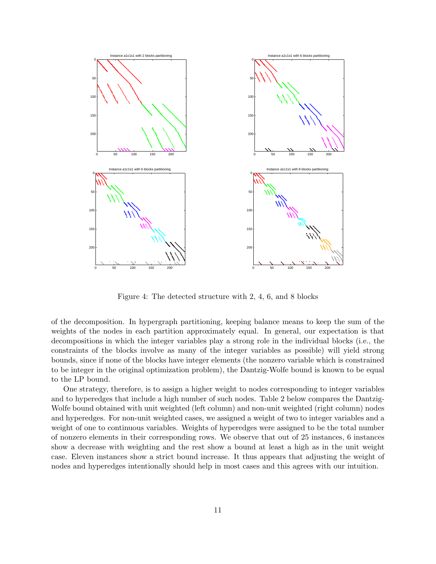

Figure 4: The detected structure with 2, 4, 6, and 8 blocks

of the decomposition. In hypergraph partitioning, keeping balance means to keep the sum of the weights of the nodes in each partition approximately equal. In general, our expectation is that decompositions in which the integer variables play a strong role in the individual blocks (i.e., the constraints of the blocks involve as many of the integer variables as possible) will yield strong bounds, since if none of the blocks have integer elements (the nonzero variable which is constrained to be integer in the original optimization problem), the Dantzig-Wolfe bound is known to be equal to the LP bound.

One strategy, therefore, is to assign a higher weight to nodes corresponding to integer variables and to hyperedges that include a high number of such nodes. Table 2 below compares the Dantzig-Wolfe bound obtained with unit weighted (left column) and non-unit weighted (right column) nodes and hyperedges. For non-unit weighted cases, we assigned a weight of two to integer variables and a weight of one to continuous variables. Weights of hyperedges were assigned to be the total number of nonzero elements in their corresponding rows. We observe that out of 25 instances, 6 instances show a decrease with weighting and the rest show a bound at least a high as in the unit weight case. Eleven instances show a strict bound increase. It thus appears that adjusting the weight of nodes and hyperedges intentionally should help in most cases and this agrees with our intuition.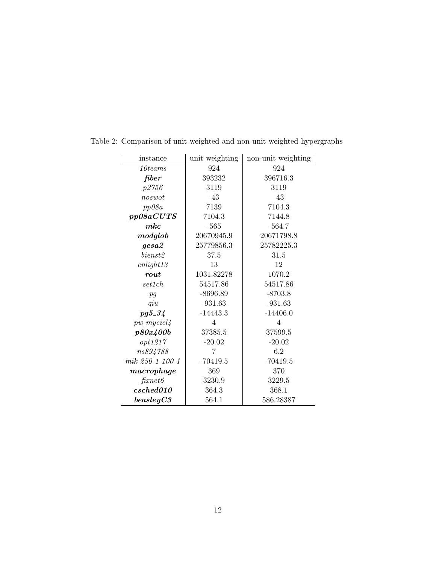| instance                                 | unit weighting | non-unit weighting |
|------------------------------------------|----------------|--------------------|
| 10 teams                                 | 924            | 924                |
| fiber                                    | 393232         | 396716.3           |
| p2756                                    | 3119           | 3119               |
| noswot                                   | $-43$          | $-43$              |
| pp08a                                    | 7139           | 7104.3             |
| pp08aCUTS                                | 7104.3         | 7144.8             |
| mkc                                      | $-565$         | $-564.7$           |
| modglob                                  | 20670945.9     | 20671798.8         |
| gesa2                                    | 25779856.3     | 25782225.3         |
| bienst <sub>2</sub>                      | 37.5           | 31.5               |
| enlight13                                | 13             | 12                 |
| rout                                     | 1031.82278     | 1070.2             |
| set1ch                                   | 54517.86       | 54517.86           |
| pg                                       | $-8696.89$     | $-8703.8$          |
| qiu                                      | $-931.63$      | $-931.63$          |
| $pg5_{-}34$                              | $-14443.3$     | $-14406.0$         |
| $pw$ _myciel4                            | 4              | $\overline{4}$     |
| p80x400b                                 | 37385.5        | 37599.5            |
| opt1217                                  | $-20.02$       | $-20.02$           |
| ns894788                                 | 7              | 6.2                |
| $mik-250-1-100-1$                        | $-70419.5$     | $-70419.5$         |
| macrophage                               | 369            | 370                |
| $\operatorname{f \! \it{x} net } \theta$ | 3230.9         | 3229.5             |
| csched010                                | 364.3          | 368.1              |
| beasleyC3                                | 564.1          | 586.28387          |

Table 2: Comparison of unit weighted and non-unit weighted hypergraphs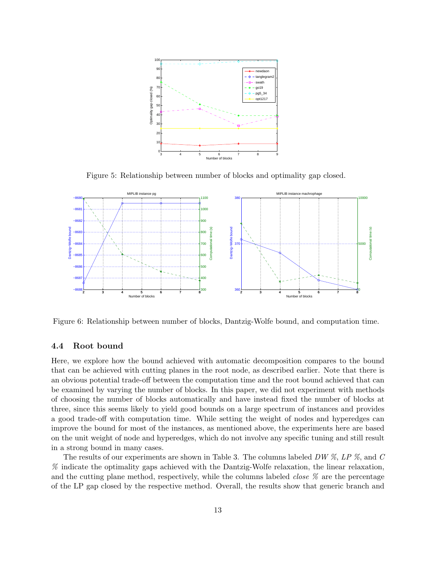

Figure 5: Relationship between number of blocks and optimality gap closed.



Figure 6: Relationship between number of blocks, Dantzig-Wolfe bound, and computation time.

#### **4.4 Root bound**

Here, we explore how the bound achieved with automatic decomposition compares to the bound that can be achieved with cutting planes in the root node, as described earlier. Note that there is an obvious potential trade-off between the computation time and the root bound achieved that can be examined by varying the number of blocks. In this paper, we did not experiment with methods of choosing the number of blocks automatically and have instead fixed the number of blocks at three, since this seems likely to yield good bounds on a large spectrum of instances and provides a good trade-off with computation time. While setting the weight of nodes and hyperedges can improve the bound for most of the instances, as mentioned above, the experiments here are based on the unit weight of node and hyperedges, which do not involve any specific tuning and still result in a strong bound in many cases.

The results of our experiments are shown in Table 3. The columns labeled *DW %*, *LP %*, and *C %* indicate the optimality gaps achieved with the Dantzig-Wolfe relaxation, the linear relaxation, and the cutting plane method, respectively, while the columns labeled *close %* are the percentage of the LP gap closed by the respective method. Overall, the results show that generic branch and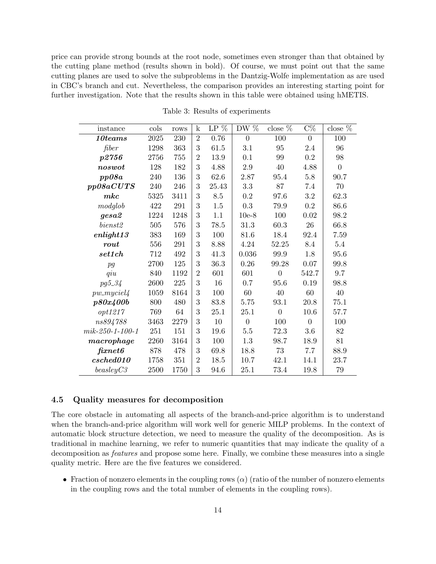price can provide strong bounds at the root node, sometimes even stronger than that obtained by the cutting plane method (results shown in bold). Of course, we must point out that the same cutting planes are used to solve the subproblems in the Dantzig-Wolfe implementation as are used in CBC's branch and cut. Nevertheless, the comparison provides an interesting starting point for further investigation. Note that the results shown in this table were obtained using hMETIS.

| instance                           | cols | rows | $\mathbf k$    | $LP\%$ | DW $\%$        | close $\%$     | $C\%$          | close $\%$     |
|------------------------------------|------|------|----------------|--------|----------------|----------------|----------------|----------------|
| $10$ teams                         | 2025 | 230  | $\overline{2}$ | 0.76   | $\overline{0}$ | 100            | $\Omega$       | 100            |
| fiber                              | 1298 | 363  | 3              | 61.5   | 3.1            | 95             | 2.4            | 96             |
| p2756                              | 2756 | 755  | $\overline{2}$ | 13.9   | 0.1            | 99             | 0.2            | 98             |
| $\boldsymbol{n}os\boldsymbol{w}ot$ | 128  | 182  | 3              | 4.88   | 2.9            | 40             | 4.88           | $\overline{0}$ |
| pp08a                              | 240  | 136  | 3              | 62.6   | 2.87           | 95.4           | 5.8            | 90.7           |
| pp08aCUTS                          | 240  | 246  | 3              | 25.43  | 3.3            | 87             | 7.4            | 70             |
| mkc                                | 5325 | 3411 | 3              | 8.5    | 0.2            | 97.6           | 3.2            | 62.3           |
| modglob                            | 422  | 291  | 3              | 1.5    | 0.3            | 79.9           | $\rm 0.2$      | 86.6           |
| gesa2                              | 1224 | 1248 | 3              | 1.1    | $10e-8$        | 100            | 0.02           | 98.2           |
| bienst2                            | 505  | 576  | 3              | 78.5   | 31.3           | 60.3           | 26             | 66.8           |
| enlight13                          | 383  | 169  | 3              | 100    | 81.6           | 18.4           | 92.4           | 7.59           |
| $_{\it{rout}}$                     | 556  | 291  | 3              | 8.88   | 4.24           | 52.25          | 8.4            | 5.4            |
| set1ch                             | 712  | 492  | 3              | 41.3   | 0.036          | 99.9           | 1.8            | 95.6           |
| pg                                 | 2700 | 125  | 3              | 36.3   | 0.26           | 99.28          | 0.07           | 99.8           |
| qiu                                | 840  | 1192 | $\overline{2}$ | 601    | 601            | $\overline{0}$ | 542.7          | 9.7            |
| pg5_34                             | 2600 | 225  | 3              | 16     | 0.7            | 95.6           | 0.19           | 98.8           |
| $pw\_myciel4$                      | 1059 | 8164 | 3              | 100    | 60             | 40             | 60             | 40             |
| p80x400b                           | 800  | 480  | 3              | 83.8   | 5.75           | 93.1           | 20.8           | 75.1           |
| opt1217                            | 769  | 64   | 3              | 25.1   | 25.1           | $\overline{0}$ | 10.6           | 57.7           |
| ns894788                           | 3463 | 2279 | 3              | 10     | $\overline{0}$ | 100            | $\overline{0}$ | 100            |
| $mik-250-1-100-1$                  | 251  | 151  | 3              | 19.6   | $5.5\,$        | 72.3           | 3.6            | 82             |
| macropage                          | 2260 | 3164 | 3              | 100    | 1.3            | 98.7           | 18.9           | 81             |
| $\operatorname{firnet6}$           | 878  | 478  | 3              | 69.8   | 18.8           | 73             | 7.7            | 88.9           |
| csched010                          | 1758 | 351  | $\overline{2}$ | 18.5   | 10.7           | 42.1           | 14.1           | 23.7           |
| beasleyC3                          | 2500 | 1750 | 3              | 94.6   | 25.1           | 73.4           | 19.8           | 79             |

Table 3: Results of experiments

#### **4.5 Quality measures for decomposition**

The core obstacle in automating all aspects of the branch-and-price algorithm is to understand when the branch-and-price algorithm will work well for generic MILP problems. In the context of automatic block structure detection, we need to measure the quality of the decomposition. As is traditional in machine learning, we refer to numeric quantities that may indicate the quality of a decomposition as *features* and propose some here. Finally, we combine these measures into a single quality metric. Here are the five features we considered.

• Fraction of nonzero elements in the coupling rows  $(\alpha)$  (ratio of the number of nonzero elements in the coupling rows and the total number of elements in the coupling rows).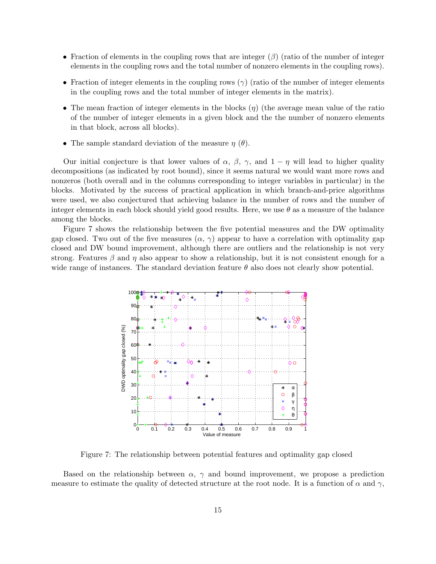- *•* Fraction of elements in the coupling rows that are integer (*β*) (ratio of the number of integer elements in the coupling rows and the total number of nonzero elements in the coupling rows).
- Fraction of integer elements in the coupling rows  $(\gamma)$  (ratio of the number of integer elements in the coupling rows and the total number of integer elements in the matrix).
- *•* The mean fraction of integer elements in the blocks (*η*) (the average mean value of the ratio of the number of integer elements in a given block and the the number of nonzero elements in that block, across all blocks).
- *•* The sample standard deviation of the measure *η* (*θ*).

Our initial conjecture is that lower values of  $\alpha$ ,  $\beta$ ,  $\gamma$ , and  $1 - \eta$  will lead to higher quality decompositions (as indicated by root bound), since it seems natural we would want more rows and nonzeros (both overall and in the columns corresponding to integer variables in particular) in the blocks. Motivated by the success of practical application in which branch-and-price algorithms were used, we also conjectured that achieving balance in the number of rows and the number of integer elements in each block should yield good results. Here, we use *θ* as a measure of the balance among the blocks.

Figure 7 shows the relationship between the five potential measures and the DW optimality gap closed. Two out of the five measures  $(\alpha, \gamma)$  appear to have a correlation with optimality gap closed and DW bound improvement, although there are outliers and the relationship is not very strong. Features  $\beta$  and  $\eta$  also appear to show a relationship, but it is not consistent enough for a wide range of instances. The standard deviation feature  $\theta$  also does not clearly show potential.



Figure 7: The relationship between potential features and optimality gap closed

Based on the relationship between  $\alpha$ ,  $\gamma$  and bound improvement, we propose a prediction measure to estimate the quality of detected structure at the root node. It is a function of  $\alpha$  and  $\gamma$ ,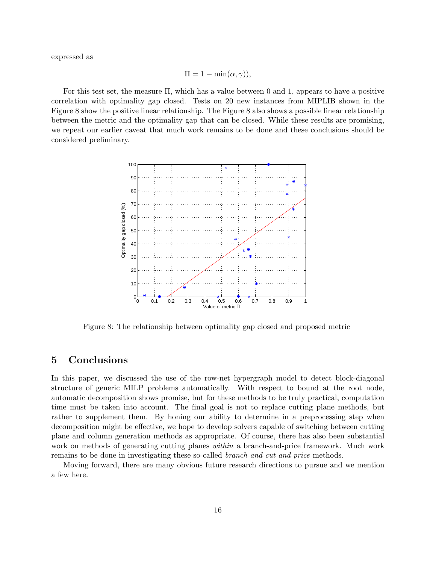expressed as

$$
\Pi = 1 - \min(\alpha, \gamma)),
$$

For this test set, the measure Π, which has a value between 0 and 1, appears to have a positive correlation with optimality gap closed. Tests on 20 new instances from MIPLIB shown in the Figure 8 show the positive linear relationship. The Figure 8 also shows a possible linear relationship between the metric and the optimality gap that can be closed. While these results are promising, we repeat our earlier caveat that much work remains to be done and these conclusions should be considered preliminary.



Figure 8: The relationship between optimality gap closed and proposed metric

## **5 Conclusions**

In this paper, we discussed the use of the row-net hypergraph model to detect block-diagonal structure of generic MILP problems automatically. With respect to bound at the root node, automatic decomposition shows promise, but for these methods to be truly practical, computation time must be taken into account. The final goal is not to replace cutting plane methods, but rather to supplement them. By honing our ability to determine in a preprocessing step when decomposition might be effective, we hope to develop solvers capable of switching between cutting plane and column generation methods as appropriate. Of course, there has also been substantial work on methods of generating cutting planes *within* a branch-and-price framework. Much work remains to be done in investigating these so-called *branch-and-cut-and-price* methods.

Moving forward, there are many obvious future research directions to pursue and we mention a few here.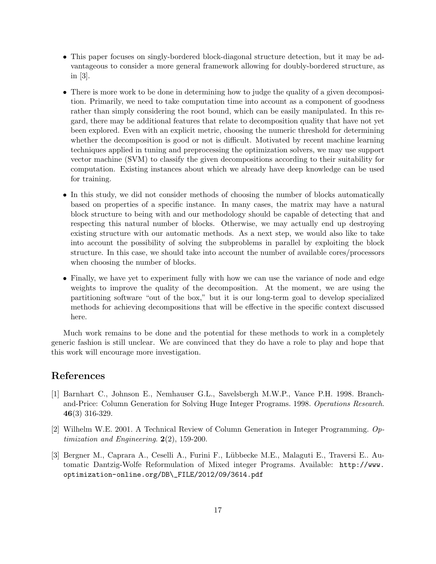- This paper focuses on singly-bordered block-diagonal structure detection, but it may be advantageous to consider a more general framework allowing for doubly-bordered structure, as in [3].
- There is more work to be done in determining how to judge the quality of a given decomposition. Primarily, we need to take computation time into account as a component of goodness rather than simply considering the root bound, which can be easily manipulated. In this regard, there may be additional features that relate to decomposition quality that have not yet been explored. Even with an explicit metric, choosing the numeric threshold for determining whether the decomposition is good or not is difficult. Motivated by recent machine learning techniques applied in tuning and preprocessing the optimization solvers, we may use support vector machine (SVM) to classify the given decompositions according to their suitability for computation. Existing instances about which we already have deep knowledge can be used for training.
- In this study, we did not consider methods of choosing the number of blocks automatically based on properties of a specific instance. In many cases, the matrix may have a natural block structure to being with and our methodology should be capable of detecting that and respecting this natural number of blocks. Otherwise, we may actually end up destroying existing structure with our automatic methods. As a next step, we would also like to take into account the possibility of solving the subproblems in parallel by exploiting the block structure. In this case, we should take into account the number of available cores/processors when choosing the number of blocks.
- Finally, we have yet to experiment fully with how we can use the variance of node and edge weights to improve the quality of the decomposition. At the moment, we are using the partitioning software "out of the box," but it is our long-term goal to develop specialized methods for achieving decompositions that will be effective in the specific context discussed here.

Much work remains to be done and the potential for these methods to work in a completely generic fashion is still unclear. We are convinced that they do have a role to play and hope that this work will encourage more investigation.

# **References**

- [1] Barnhart C., Johnson E., Nemhauser G.L., Savelsbergh M.W.P., Vance P.H. 1998. Branchand-Price: Column Generation for Solving Huge Integer Programs. 1998. *Operations Research*. **46**(3) 316-329.
- [2] Wilhelm W.E. 2001. A Technical Review of Column Generation in Integer Programming. *Optimization and Engineering*. **2**(2), 159-200.
- [3] Bergner M., Caprara A., Ceselli A., Furini F., L¨ubbecke M.E., Malaguti E., Traversi E.. Automatic Dantzig-Wolfe Reformulation of Mixed integer Programs. Available: http://www. optimization-online.org/DB\\_FILE/2012/09/3614.pdf